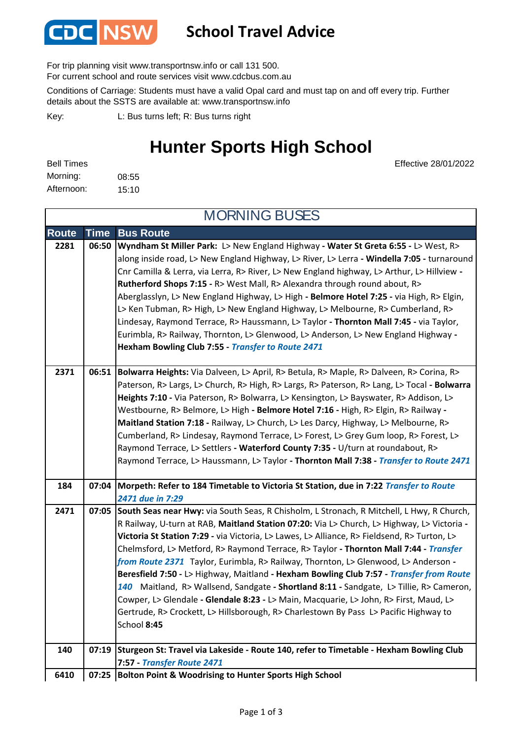

## **School Travel Advice**

For trip planning visit www.transportnsw.info or call 131 500.

For current school and route services visit www.cdcbus.com.au

Conditions of Carriage: Students must have a valid Opal card and must tap on and off every trip. Further details about the SSTS are available at: www.transportnsw.info

L: Bus turns left; R: Bus turns right Key:

## **Hunter Sports High School**

Effective 28/01/2022

| <b>Bell Times</b> |       |
|-------------------|-------|
| Morning:          | 08:55 |
| Afternoon:        | 15:10 |

**Route Time Bus Route 2281 06:50 Wyndham St Miller Park:** L> New England Highway **- Water St Greta 6:55 -** L> West, R> along inside road, L> New England Highway, L> River, L> Lerra **- Windella 7:05 -** turnaround Cnr Camilla & Lerra, via Lerra, R> River, L> New England highway, L> Arthur, L> Hillview **- Rutherford Shops 7:15 -** R> West Mall, R> Alexandra through round about, R> Aberglasslyn, L> New England Highway, L> High **- Belmore Hotel 7:25 -** via High, R> Elgin, L> Ken Tubman, R> High, L> New England Highway, L> Melbourne, R> Cumberland, R> Lindesay, Raymond Terrace, R> Haussmann, L> Taylor **- Thornton Mall 7:45 -** via Taylor, Eurimbla, R> Railway, Thornton, L> Glenwood, L> Anderson, L> New England Highway **- Hexham Bowling Club 7:55 -** *Transfer to Route 2471* **2371 06:51 Bolwarra Heights:** Via Dalveen, L> April, R> Betula, R> Maple, R> Dalveen, R> Corina, R> Paterson, R> Largs, L> Church, R> High, R> Largs, R> Paterson, R> Lang, L> Tocal **- Bolwarra Heights 7:10 -** Via Paterson, R> Bolwarra, L> Kensington, L> Bayswater, R> Addison, L> Westbourne, R> Belmore, L> High **- Belmore Hotel 7:16 -** High, R> Elgin, R> Railway **- Maitland Station 7:18 -** Railway, L> Church, L> Les Darcy, Highway, L> Melbourne, R> Cumberland, R> Lindesay, Raymond Terrace, L> Forest, L> Grey Gum loop, R> Forest, L> Raymond Terrace, L> Settlers **- Waterford County 7:35 -** U/turn at roundabout, R> Raymond Terrace, L> Haussmann, L> Taylor **- Thornton Mall 7:38 -** *Transfer to Route 2471* **184 07:04 Morpeth: Refer to 184 Timetable to Victoria St Station, due in 7:22** *Transfer to Route 2471 due in 7:29* **2471 07:05 South Seas near Hwy:** via South Seas, R Chisholm, L Stronach, R Mitchell, L Hwy, R Church, R Railway, U-turn at RAB, **Maitland Station 07:20:** Via L> Church, L> Highway, L> Victoria **- Victoria St Station 7:29 -** via Victoria, L> Lawes, L> Alliance, R> Fieldsend, R> Turton, L> Chelmsford, L> Metford, R> Raymond Terrace, R> Taylor **- Thornton Mall 7:44 -** *Transfer from Route 2371* Taylor, Eurimbla, R> Railway, Thornton, L> Glenwood, L> Anderson **- Beresfield 7:50 -** L> Highway, Maitland **- Hexham Bowling Club 7:57 -** *Transfer from Route 140* Maitland, R> Wallsend, Sandgate **- Shortland 8:11 -** Sandgate, L> Tillie, R> Cameron, Cowper, L> Glendale **- Glendale 8:23 -** L> Main, Macquarie, L> John, R> First, Maud, L> Gertrude, R> Crockett, L> Hillsborough, R> Charlestown By Pass L> Pacific Highway to School **8:45 140 07:19 Sturgeon St: Travel via Lakeside - Route 140, refer to Timetable - Hexham Bowling Club 7:57 -** *Transfer Route 2471*  **Bolton Point & Woodrising to Hunter Sports High School 6410 07:25** MORNING BUSES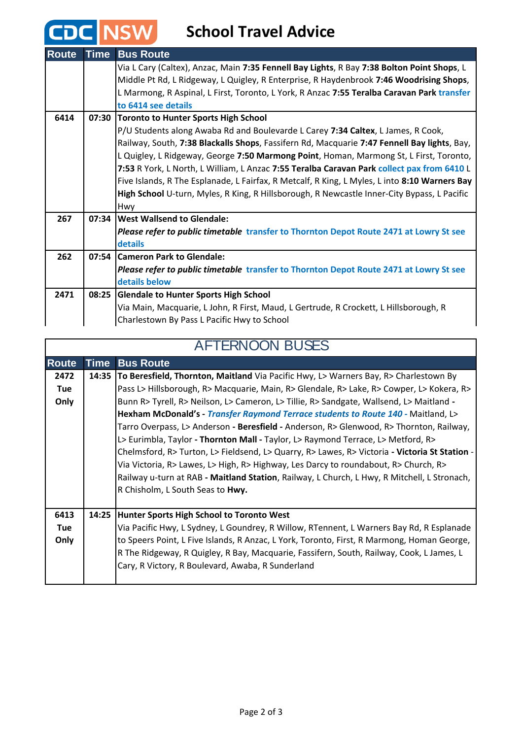## **CDC** NSW School Travel Advice

| <b>Route</b> | <b>Time</b> | <b>Bus Route</b>                                                                              |  |
|--------------|-------------|-----------------------------------------------------------------------------------------------|--|
|              |             | Via L Cary (Caltex), Anzac, Main 7:35 Fennell Bay Lights, R Bay 7:38 Bolton Point Shops, L    |  |
|              |             | Middle Pt Rd, L Ridgeway, L Quigley, R Enterprise, R Haydenbrook 7:46 Woodrising Shops,       |  |
|              |             | L Marmong, R Aspinal, L First, Toronto, L York, R Anzac 7:55 Teralba Caravan Park transfer    |  |
|              |             | to 6414 see details                                                                           |  |
| 6414         | 07:30       | <b>Toronto to Hunter Sports High School</b>                                                   |  |
|              |             | P/U Students along Awaba Rd and Boulevarde L Carey 7:34 Caltex, L James, R Cook,              |  |
|              |             | Railway, South, 7:38 Blackalls Shops, Fassifern Rd, Macquarie 7:47 Fennell Bay lights, Bay,   |  |
|              |             | L Quigley, L Ridgeway, George 7:50 Marmong Point, Homan, Marmong St, L First, Toronto,        |  |
|              |             | 7:53 R York, L North, L William, L Anzac 7:55 Teralba Caravan Park collect pax from 6410 L    |  |
|              |             | Five Islands, R The Esplanade, L Fairfax, R Metcalf, R King, L Myles, L into 8:10 Warners Bay |  |
|              |             | High School U-turn, Myles, R King, R Hillsborough, R Newcastle Inner-City Bypass, L Pacific   |  |
|              |             | Hwy                                                                                           |  |
| 267          |             | 07:34 West Wallsend to Glendale:                                                              |  |
|              |             | Please refer to public timetable transfer to Thornton Depot Route 2471 at Lowry St see        |  |
|              |             | details                                                                                       |  |
| 262          |             | 07:54 Cameron Park to Glendale:                                                               |  |
|              |             | Please refer to public timetable transfer to Thornton Depot Route 2471 at Lowry St see        |  |
|              |             | details below                                                                                 |  |
| 2471         |             | 08:25 Glendale to Hunter Sports High School                                                   |  |
|              |             | Via Main, Macquarie, L John, R First, Maud, L Gertrude, R Crockett, L Hillsborough, R         |  |
|              |             | Charlestown By Pass L Pacific Hwy to School                                                   |  |

| <b>AFTERNOON BUSES</b> |             |                                                                                               |  |  |
|------------------------|-------------|-----------------------------------------------------------------------------------------------|--|--|
| <b>Route</b>           | <b>Time</b> | <b>Bus Route</b>                                                                              |  |  |
| 2472                   | 14:35       | <b>To Beresfield, Thornton, Maitland</b> Via Pacific Hwy, L> Warners Bay, R> Charlestown By   |  |  |
| <b>Tue</b>             |             | Pass L> Hillsborough, R> Macquarie, Main, R> Glendale, R> Lake, R> Cowper, L> Kokera, R>      |  |  |
| Only                   |             | Bunn R> Tyrell, R> Neilson, L> Cameron, L> Tillie, R> Sandgate, Wallsend, L> Maitland -       |  |  |
|                        |             | Hexham McDonald's - Transfer Raymond Terrace students to Route 140 - Maitland, L>             |  |  |
|                        |             | Tarro Overpass, L> Anderson - Beresfield - Anderson, R> Glenwood, R> Thornton, Railway,       |  |  |
|                        |             | L> Eurimbla, Taylor - Thornton Mall - Taylor, L> Raymond Terrace, L> Metford, R>              |  |  |
|                        |             | Chelmsford, R> Turton, L> Fieldsend, L> Quarry, R> Lawes, R> Victoria - Victoria St Station - |  |  |
|                        |             | Via Victoria, R> Lawes, L> High, R> Highway, Les Darcy to roundabout, R> Church, R>           |  |  |
|                        |             | Railway u-turn at RAB - Maitland Station, Railway, L Church, L Hwy, R Mitchell, L Stronach,   |  |  |
|                        |             | R Chisholm, L South Seas to Hwy.                                                              |  |  |
|                        |             |                                                                                               |  |  |
| 6413                   | 14:25       | Hunter Sports High School to Toronto West                                                     |  |  |
| <b>Tue</b>             |             | Via Pacific Hwy, L Sydney, L Goundrey, R Willow, RTennent, L Warners Bay Rd, R Esplanade      |  |  |
| Only                   |             | to Speers Point, L Five Islands, R Anzac, L York, Toronto, First, R Marmong, Homan George,    |  |  |
|                        |             | R The Ridgeway, R Quigley, R Bay, Macquarie, Fassifern, South, Railway, Cook, L James, L      |  |  |
|                        |             | Cary, R Victory, R Boulevard, Awaba, R Sunderland                                             |  |  |
|                        |             |                                                                                               |  |  |